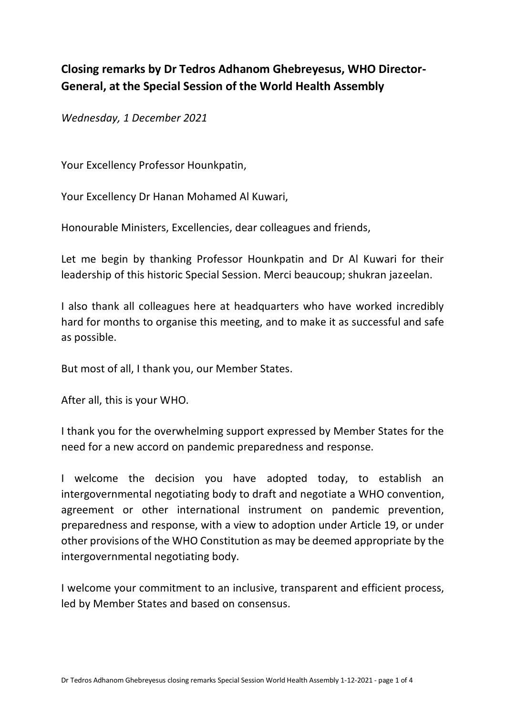## **Closing remarks by Dr Tedros Adhanom Ghebreyesus, WHO Director-General, at the Special Session of the World Health Assembly**

*Wednesday, 1 December 2021*

Your Excellency Professor Hounkpatin,

Your Excellency Dr Hanan Mohamed Al Kuwari,

Honourable Ministers, Excellencies, dear colleagues and friends,

Let me begin by thanking Professor Hounkpatin and Dr Al Kuwari for their leadership of this historic Special Session. Merci beaucoup; shukran jazeelan.

I also thank all colleagues here at headquarters who have worked incredibly hard for months to organise this meeting, and to make it as successful and safe as possible.

But most of all, I thank you, our Member States.

After all, this is your WHO.

I thank you for the overwhelming support expressed by Member States for the need for a new accord on pandemic preparedness and response.

I welcome the decision you have adopted today, to establish an intergovernmental negotiating body to draft and negotiate a WHO convention, agreement or other international instrument on pandemic prevention, preparedness and response, with a view to adoption under Article 19, or under other provisions of the WHO Constitution as may be deemed appropriate by the intergovernmental negotiating body.

I welcome your commitment to an inclusive, transparent and efficient process, led by Member States and based on consensus.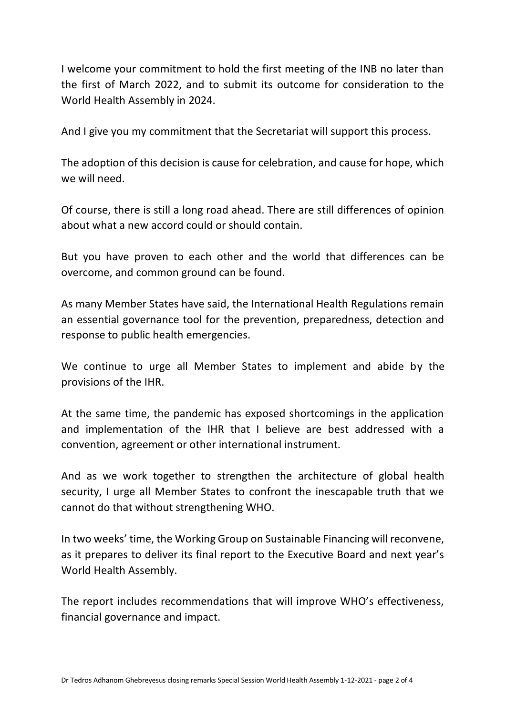I welcome your commitment to hold the first meeting of the INB no later than the first of March 2022, and to submit its outcome for consideration to the World Health Assembly in 2024.

And I give you my commitment that the Secretariat will support this process.

The adoption of this decision is cause for celebration, and cause for hope, which we will need.

Of course, there is still a long road ahead. There are still differences of opinion about what a new accord could or should contain.

But you have proven to each other and the world that differences can be overcome, and common ground can be found.

As many Member States have said, the International Health Regulations remain an essential governance tool for the prevention, preparedness, detection and response to public health emergencies.

We continue to urge all Member States to implement and abide by the provisions of the IHR.

At the same time, the pandemic has exposed shortcomings in the application and implementation of the IHR that I believe are best addressed with a convention, agreement or other international instrument.

And as we work together to strengthen the architecture of global health security, I urge all Member States to confront the inescapable truth that we cannot do that without strengthening WHO.

In two weeks' time, the Working Group on Sustainable Financing will reconvene, as it prepares to deliver its final report to the Executive Board and next year's World Health Assembly.

The report includes recommendations that will improve WHO's effectiveness, financial governance and impact.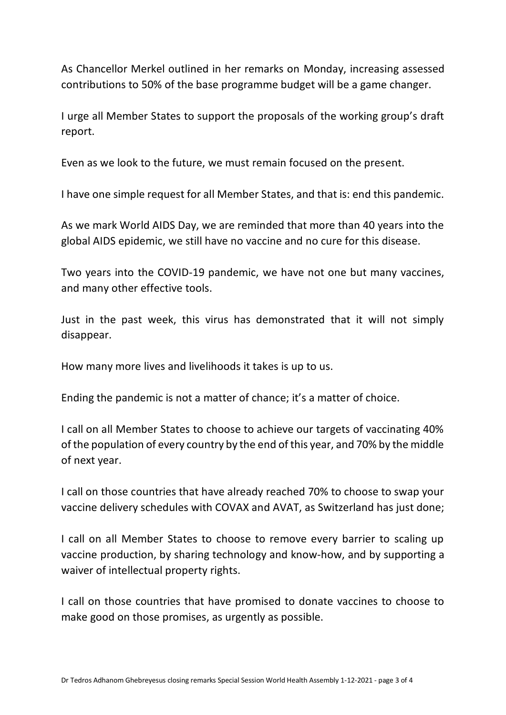As Chancellor Merkel outlined in her remarks on Monday, increasing assessed contributions to 50% of the base programme budget will be a game changer.

I urge all Member States to support the proposals of the working group's draft report.

Even as we look to the future, we must remain focused on the present.

I have one simple request for all Member States, and that is: end this pandemic.

As we mark World AIDS Day, we are reminded that more than 40 years into the global AIDS epidemic, we still have no vaccine and no cure for this disease.

Two years into the COVID-19 pandemic, we have not one but many vaccines, and many other effective tools.

Just in the past week, this virus has demonstrated that it will not simply disappear.

How many more lives and livelihoods it takes is up to us.

Ending the pandemic is not a matter of chance; it's a matter of choice.

I call on all Member States to choose to achieve our targets of vaccinating 40% of the population of every country by the end of this year, and 70% by the middle of next year.

I call on those countries that have already reached 70% to choose to swap your vaccine delivery schedules with COVAX and AVAT, as Switzerland has just done;

I call on all Member States to choose to remove every barrier to scaling up vaccine production, by sharing technology and know-how, and by supporting a waiver of intellectual property rights.

I call on those countries that have promised to donate vaccines to choose to make good on those promises, as urgently as possible.